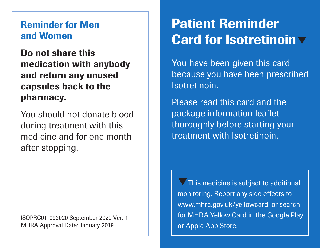## Reminder for Men and Women

Do not share this medication with anybody and return any unused capsules back to the pharmacy.

You should not donate blood during treatment with this medicine and for one month after stopping.

ISOPRC01-092020 September 2020 Ver: 1 MHRA Approval Date: January 2019

## Patient Reminder Card for Isotretinoin  $\nabla$

You have been given this card because you have been prescribed Isotretinoin.

Please read this card and the package information leaflet thoroughly before starting your treatment with Isotretinoin.

 $\nabla$  This medicine is subject to additional monitoring. Report any side effects to www.mhra.gov.uk/yellowcard, or search for MHRA Yellow Card in the Google Play or Apple App Store.